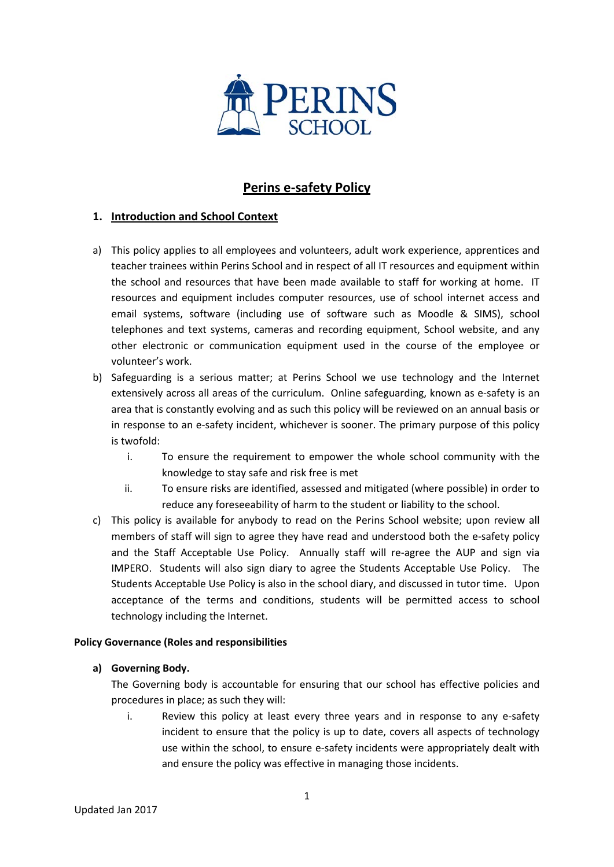

## **Perins e-safety Policy**

#### **1. Introduction and School Context**

- a) This policy applies to all employees and volunteers, adult work experience, apprentices and teacher trainees within Perins School and in respect of all IT resources and equipment within the school and resources that have been made available to staff for working at home. IT resources and equipment includes computer resources, use of school internet access and email systems, software (including use of software such as Moodle & SIMS), school telephones and text systems, cameras and recording equipment, School website, and any other electronic or communication equipment used in the course of the employee or volunteer's work.
- b) Safeguarding is a serious matter; at Perins School we use technology and the Internet extensively across all areas of the curriculum. Online safeguarding, known as e-safety is an area that is constantly evolving and as such this policy will be reviewed on an annual basis or in response to an e-safety incident, whichever is sooner. The primary purpose of this policy is twofold:
	- i. To ensure the requirement to empower the whole school community with the knowledge to stay safe and risk free is met
	- ii. To ensure risks are identified, assessed and mitigated (where possible) in order to reduce any foreseeability of harm to the student or liability to the school.
- c) This policy is available for anybody to read on the Perins School website; upon review all members of staff will sign to agree they have read and understood both the e-safety policy and the Staff Acceptable Use Policy. Annually staff will re-agree the AUP and sign via IMPERO. Students will also sign diary to agree the Students Acceptable Use Policy. The Students Acceptable Use Policy is also in the school diary, and discussed in tutor time. Upon acceptance of the terms and conditions, students will be permitted access to school technology including the Internet.

#### **Policy Governance (Roles and responsibilities**

#### **a) Governing Body.**

The Governing body is accountable for ensuring that our school has effective policies and procedures in place; as such they will:

i. Review this policy at least every three years and in response to any e-safety incident to ensure that the policy is up to date, covers all aspects of technology use within the school, to ensure e-safety incidents were appropriately dealt with and ensure the policy was effective in managing those incidents.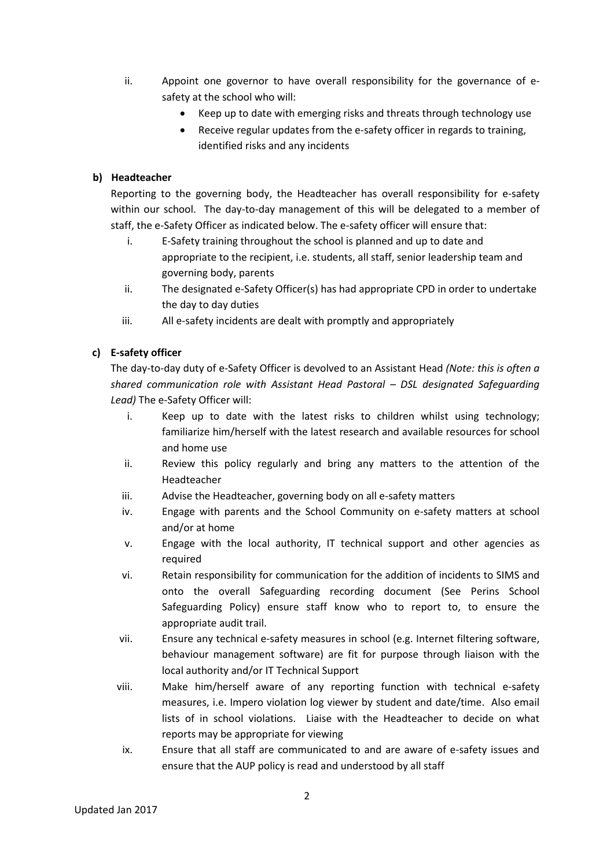- ii. Appoint one governor to have overall responsibility for the governance of esafety at the school who will:
	- Keep up to date with emerging risks and threats through technology use
	- Receive regular updates from the e-safety officer in regards to training, identified risks and any incidents

#### **b) Headteacher**

Reporting to the governing body, the Headteacher has overall responsibility for e-safety within our school. The day-to-day management of this will be delegated to a member of staff, the e-Safety Officer as indicated below. The e-safety officer will ensure that:

- i. E-Safety training throughout the school is planned and up to date and appropriate to the recipient, i.e. students, all staff, senior leadership team and governing body, parents
- ii. The designated e-Safety Officer(s) has had appropriate CPD in order to undertake the day to day duties
- iii. All e-safety incidents are dealt with promptly and appropriately

#### **c) E-safety officer**

The day-to-day duty of e-Safety Officer is devolved to an Assistant Head *(Note: this is often a shared communication role with Assistant Head Pastoral – DSL designated Safeguarding Lead)* The e-Safety Officer will:

- i. Keep up to date with the latest risks to children whilst using technology; familiarize him/herself with the latest research and available resources for school and home use
- ii. Review this policy regularly and bring any matters to the attention of the Headteacher
- iii. Advise the Headteacher, governing body on all e-safety matters
- iv. Engage with parents and the School Community on e-safety matters at school and/or at home
- v. Engage with the local authority, IT technical support and other agencies as required
- vi. Retain responsibility for communication for the addition of incidents to SIMS and onto the overall Safeguarding recording document (See Perins School Safeguarding Policy) ensure staff know who to report to, to ensure the appropriate audit trail.
- vii. Ensure any technical e-safety measures in school (e.g. Internet filtering software, behaviour management software) are fit for purpose through liaison with the local authority and/or IT Technical Support
- viii. Make him/herself aware of any reporting function with technical e-safety measures, i.e. Impero violation log viewer by student and date/time. Also email lists of in school violations. Liaise with the Headteacher to decide on what reports may be appropriate for viewing
- ix. Ensure that all staff are communicated to and are aware of e-safety issues and ensure that the AUP policy is read and understood by all staff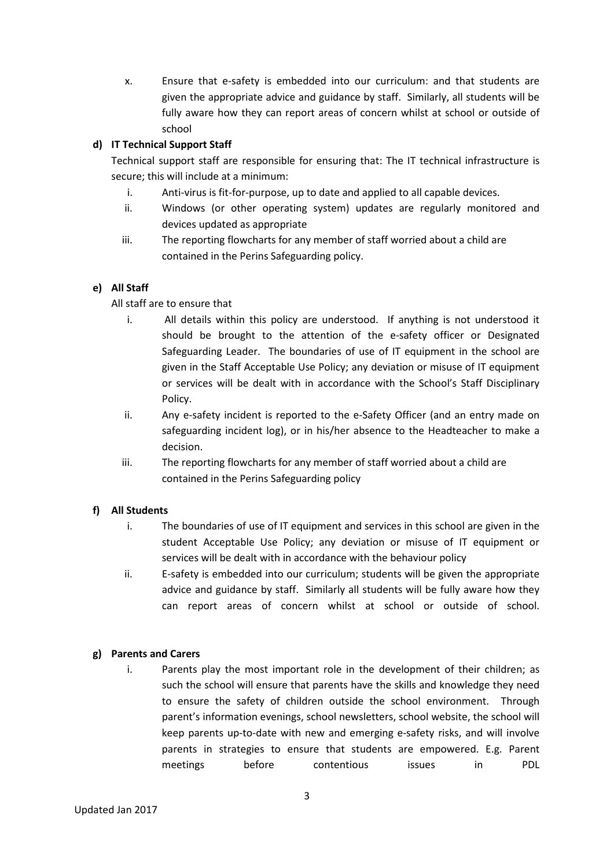x. Ensure that e-safety is embedded into our curriculum: and that students are given the appropriate advice and guidance by staff. Similarly, all students will be fully aware how they can report areas of concern whilst at school or outside of school

#### **d) IT Technical Support Staff**

Technical support staff are responsible for ensuring that: The IT technical infrastructure is secure; this will include at a minimum:

- i. Anti-virus is fit-for-purpose, up to date and applied to all capable devices.
- ii. Windows (or other operating system) updates are regularly monitored and devices updated as appropriate
- iii. The reporting flowcharts for any member of staff worried about a child are contained in the Perins Safeguarding policy.

#### **e) All Staff**

#### All staff are to ensure that

- i. All details within this policy are understood. If anything is not understood it should be brought to the attention of the e-safety officer or Designated Safeguarding Leader. The boundaries of use of IT equipment in the school are given in the Staff Acceptable Use Policy; any deviation or misuse of IT equipment or services will be dealt with in accordance with the School's Staff Disciplinary Policy.
- ii. Any e-safety incident is reported to the e-Safety Officer (and an entry made on safeguarding incident log), or in his/her absence to the Headteacher to make a decision.
- iii. The reporting flowcharts for any member of staff worried about a child are contained in the Perins Safeguarding policy

#### **f) All Students**

- i. The boundaries of use of IT equipment and services in this school are given in the student Acceptable Use Policy; any deviation or misuse of IT equipment or services will be dealt with in accordance with the behaviour policy
- ii. E-safety is embedded into our curriculum; students will be given the appropriate advice and guidance by staff. Similarly all students will be fully aware how they can report areas of concern whilst at school or outside of school.

#### **g) Parents and Carers**

i. Parents play the most important role in the development of their children; as such the school will ensure that parents have the skills and knowledge they need to ensure the safety of children outside the school environment. Through parent's information evenings, school newsletters, school website, the school will keep parents up-to-date with new and emerging e-safety risks, and will involve parents in strategies to ensure that students are empowered. E.g. Parent meetings before contentious issues in PDL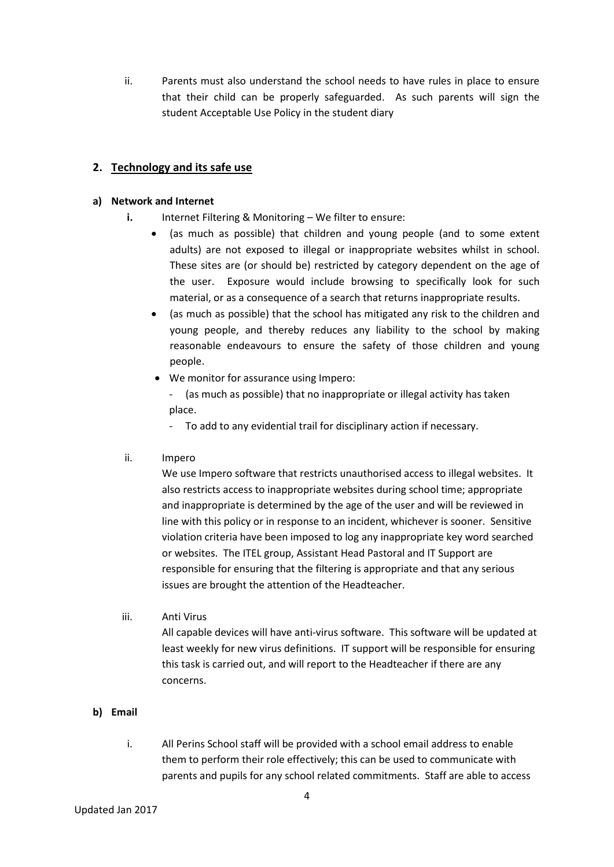ii. Parents must also understand the school needs to have rules in place to ensure that their child can be properly safeguarded. As such parents will sign the student Acceptable Use Policy in the student diary

#### **2. Technology and its safe use**

#### **a) Network and Internet**

- **i.** Internet Filtering & Monitoring We filter to ensure:
	- (as much as possible) that children and young people (and to some extent adults) are not exposed to illegal or inappropriate websites whilst in school. These sites are (or should be) restricted by category dependent on the age of the user. Exposure would include browsing to specifically look for such material, or as a consequence of a search that returns inappropriate results.
	- (as much as possible) that the school has mitigated any risk to the children and young people, and thereby reduces any liability to the school by making reasonable endeavours to ensure the safety of those children and young people.
	- We monitor for assurance using Impero:
		- (as much as possible) that no inappropriate or illegal activity has taken place.
		- To add to any evidential trail for disciplinary action if necessary.
- ii. Impero

We use Impero software that restricts unauthorised access to illegal websites. It also restricts access to inappropriate websites during school time; appropriate and inappropriate is determined by the age of the user and will be reviewed in line with this policy or in response to an incident, whichever is sooner. Sensitive violation criteria have been imposed to log any inappropriate key word searched or websites. The ITEL group, Assistant Head Pastoral and IT Support are responsible for ensuring that the filtering is appropriate and that any serious issues are brought the attention of the Headteacher.

iii. Anti Virus

All capable devices will have anti-virus software. This software will be updated at least weekly for new virus definitions. IT support will be responsible for ensuring this task is carried out, and will report to the Headteacher if there are any concerns.

- **b) Email**
	- i. All Perins School staff will be provided with a school email address to enable them to perform their role effectively; this can be used to communicate with parents and pupils for any school related commitments. Staff are able to access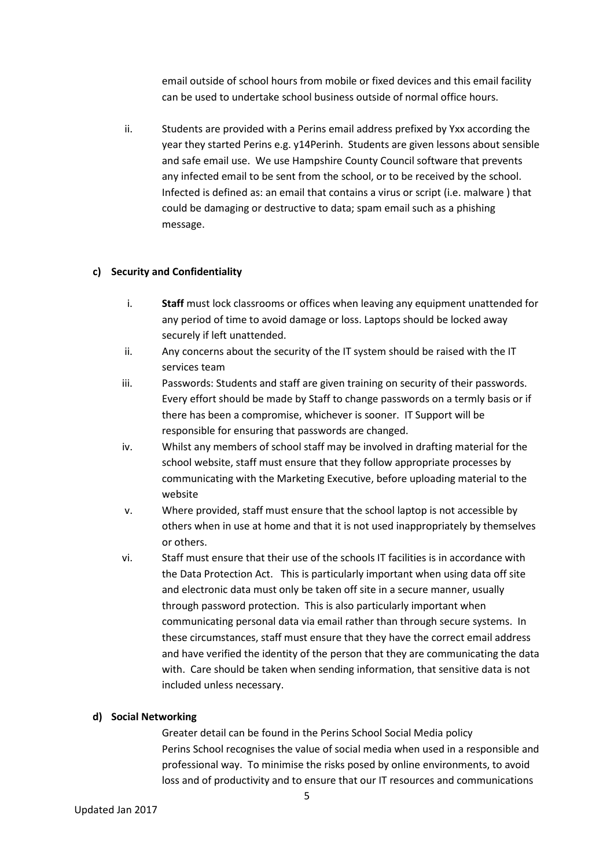email outside of school hours from mobile or fixed devices and this email facility can be used to undertake school business outside of normal office hours.

ii. Students are provided with a Perins email address prefixed by Yxx according the year they started Perins e.g. y14Perinh. Students are given lessons about sensible and safe email use. We use Hampshire County Council software that prevents any infected email to be sent from the school, or to be received by the school. Infected is defined as: an email that contains a virus or script (i.e. malware ) that could be damaging or destructive to data; spam email such as a phishing message.

#### **c) Security and Confidentiality**

- i. **Staff** must lock classrooms or offices when leaving any equipment unattended for any period of time to avoid damage or loss. Laptops should be locked away securely if left unattended.
- ii. Any concerns about the security of the IT system should be raised with the IT services team
- iii. Passwords: Students and staff are given training on security of their passwords. Every effort should be made by Staff to change passwords on a termly basis or if there has been a compromise, whichever is sooner. IT Support will be responsible for ensuring that passwords are changed.
- iv. Whilst any members of school staff may be involved in drafting material for the school website, staff must ensure that they follow appropriate processes by communicating with the Marketing Executive, before uploading material to the website
- v. Where provided, staff must ensure that the school laptop is not accessible by others when in use at home and that it is not used inappropriately by themselves or others.
- vi. Staff must ensure that their use of the schools IT facilities is in accordance with the Data Protection Act. This is particularly important when using data off site and electronic data must only be taken off site in a secure manner, usually through password protection. This is also particularly important when communicating personal data via email rather than through secure systems. In these circumstances, staff must ensure that they have the correct email address and have verified the identity of the person that they are communicating the data with. Care should be taken when sending information, that sensitive data is not included unless necessary.

#### **d) Social Networking**

Greater detail can be found in the Perins School Social Media policy Perins School recognises the value of social media when used in a responsible and professional way. To minimise the risks posed by online environments, to avoid loss and of productivity and to ensure that our IT resources and communications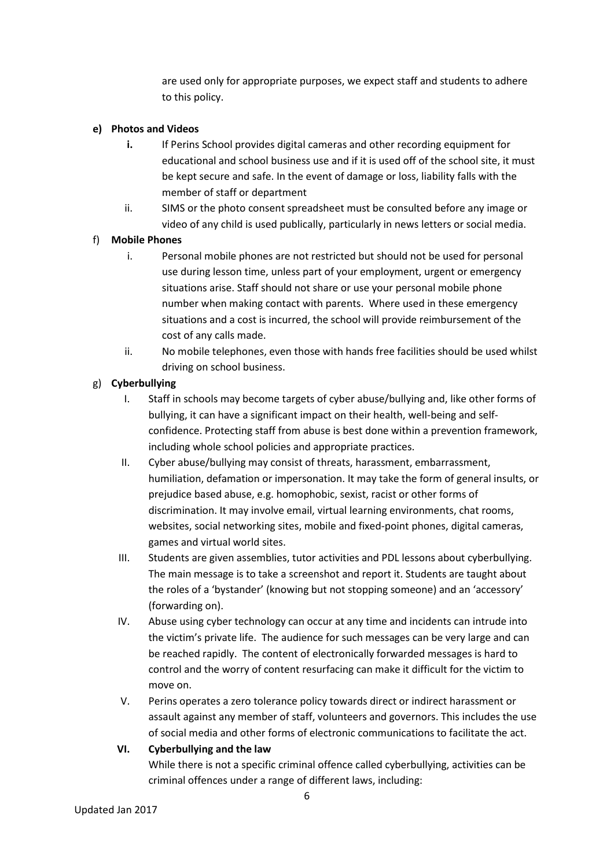are used only for appropriate purposes, we expect staff and students to adhere to this policy.

#### **e) Photos and Videos**

- **i.** If Perins School provides digital cameras and other recording equipment for educational and school business use and if it is used off of the school site, it must be kept secure and safe. In the event of damage or loss, liability falls with the member of staff or department
- ii. SIMS or the photo consent spreadsheet must be consulted before any image or video of any child is used publically, particularly in news letters or social media.

#### f) **Mobile Phones**

- i. Personal mobile phones are not restricted but should not be used for personal use during lesson time, unless part of your employment, urgent or emergency situations arise. Staff should not share or use your personal mobile phone number when making contact with parents. Where used in these emergency situations and a cost is incurred, the school will provide reimbursement of the cost of any calls made.
- ii. No mobile telephones, even those with hands free facilities should be used whilst driving on school business.

## g) **Cyberbullying**

- I. Staff in schools may become targets of cyber abuse/bullying and, like other forms of bullying, it can have a significant impact on their health, well-being and selfconfidence. Protecting staff from abuse is best done within a prevention framework, including whole school policies and appropriate practices.
- II. Cyber abuse/bullying may consist of threats, harassment, embarrassment, humiliation, defamation or impersonation. It may take the form of general insults, or prejudice based abuse, e.g. homophobic, sexist, racist or other forms of discrimination. It may involve email, virtual learning environments, chat rooms, websites, social networking sites, mobile and fixed-point phones, digital cameras, games and virtual world sites.
- III. Students are given assemblies, tutor activities and PDL lessons about cyberbullying. The main message is to take a screenshot and report it. Students are taught about the roles of a 'bystander' (knowing but not stopping someone) and an 'accessory' (forwarding on).
- IV. Abuse using cyber technology can occur at any time and incidents can intrude into the victim's private life. The audience for such messages can be very large and can be reached rapidly. The content of electronically forwarded messages is hard to control and the worry of content resurfacing can make it difficult for the victim to move on.
- V. Perins operates a zero tolerance policy towards direct or indirect harassment or assault against any member of staff, volunteers and governors. This includes the use of social media and other forms of electronic communications to facilitate the act.

## **VI. Cyberbullying and the law**

While there is not a specific criminal offence called cyberbullying, activities can be criminal offences under a range of different laws, including: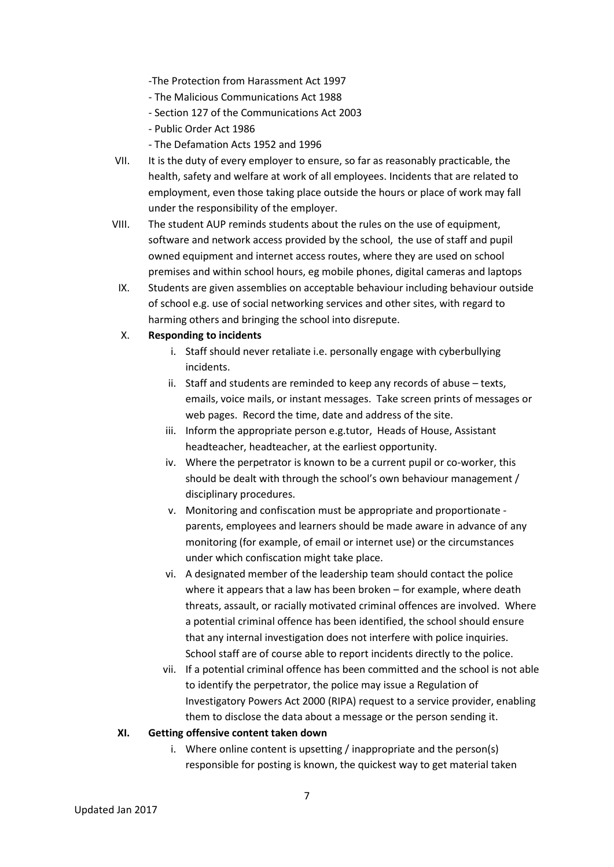-The Protection from Harassment Act 1997

- The Malicious Communications Act 1988
- Section 127 of the Communications Act 2003
- Public Order Act 1986
- The Defamation Acts 1952 and 1996
- VII. It is the duty of every employer to ensure, so far as reasonably practicable, the health, safety and welfare at work of all employees. Incidents that are related to employment, even those taking place outside the hours or place of work may fall under the responsibility of the employer.
- VIII. The student AUP reminds students about the rules on the use of equipment, software and network access provided by the school, the use of staff and pupil owned equipment and internet access routes, where they are used on school premises and within school hours, eg mobile phones, digital cameras and laptops
- IX. Students are given assemblies on acceptable behaviour including behaviour outside of school e.g. use of social networking services and other sites, with regard to harming others and bringing the school into disrepute.

#### X. **Responding to incidents**

- i. Staff should never retaliate i.e. personally engage with cyberbullying incidents.
- ii. Staff and students are reminded to keep any records of abuse texts, emails, voice mails, or instant messages. Take screen prints of messages or web pages. Record the time, date and address of the site.
- iii. Inform the appropriate person e.g.tutor, Heads of House, Assistant headteacher, headteacher, at the earliest opportunity.
- iv. Where the perpetrator is known to be a current pupil or co-worker, this should be dealt with through the school's own behaviour management / disciplinary procedures.
- v. Monitoring and confiscation must be appropriate and proportionate parents, employees and learners should be made aware in advance of any monitoring (for example, of email or internet use) or the circumstances under which confiscation might take place.
- vi. A designated member of the leadership team should contact the police where it appears that a law has been broken – for example, where death threats, assault, or racially motivated criminal offences are involved. Where a potential criminal offence has been identified, the school should ensure that any internal investigation does not interfere with police inquiries. School staff are of course able to report incidents directly to the police.
- vii. If a potential criminal offence has been committed and the school is not able to identify the perpetrator, the police may issue a Regulation of Investigatory Powers Act 2000 (RIPA) request to a service provider, enabling them to disclose the data about a message or the person sending it.

#### **XI. Getting offensive content taken down**

i. Where online content is upsetting / inappropriate and the person(s) responsible for posting is known, the quickest way to get material taken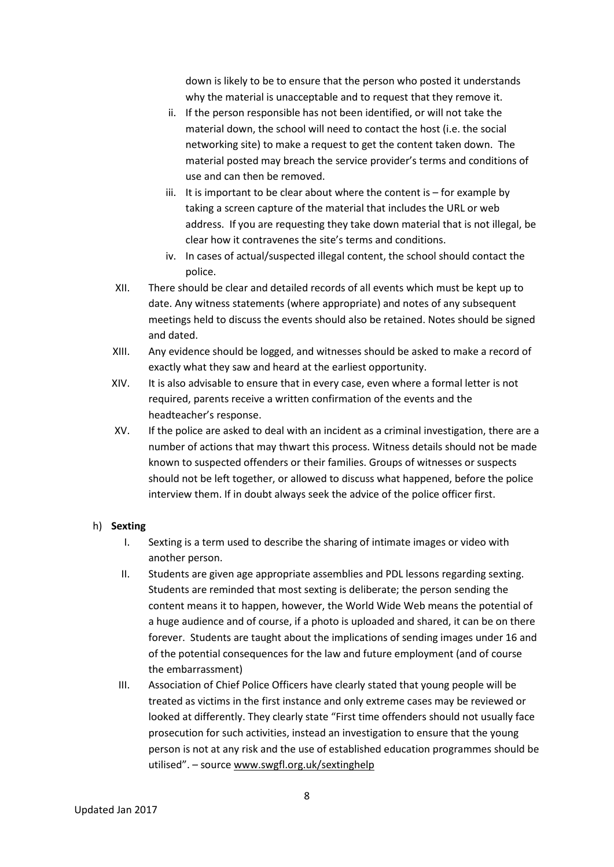down is likely to be to ensure that the person who posted it understands why the material is unacceptable and to request that they remove it.

- ii. If the person responsible has not been identified, or will not take the material down, the school will need to contact the host (i.e. the social networking site) to make a request to get the content taken down. The material posted may breach the service provider's terms and conditions of use and can then be removed.
- iii. It is important to be clear about where the content is  $-$  for example by taking a screen capture of the material that includes the URL or web address. If you are requesting they take down material that is not illegal, be clear how it contravenes the site's terms and conditions.
- iv. In cases of actual/suspected illegal content, the school should contact the police.
- XII. There should be clear and detailed records of all events which must be kept up to date. Any witness statements (where appropriate) and notes of any subsequent meetings held to discuss the events should also be retained. Notes should be signed and dated.
- XIII. Any evidence should be logged, and witnesses should be asked to make a record of exactly what they saw and heard at the earliest opportunity.
- XIV. It is also advisable to ensure that in every case, even where a formal letter is not required, parents receive a written confirmation of the events and the headteacher's response.
- XV. If the police are asked to deal with an incident as a criminal investigation, there are a number of actions that may thwart this process. Witness details should not be made known to suspected offenders or their families. Groups of witnesses or suspects should not be left together, or allowed to discuss what happened, before the police interview them. If in doubt always seek the advice of the police officer first.

#### h) **Sexting**

- I. Sexting is a term used to describe the sharing of intimate images or video with another person.
- II. Students are given age appropriate assemblies and PDL lessons regarding sexting. Students are reminded that most sexting is deliberate; the person sending the content means it to happen, however, the World Wide Web means the potential of a huge audience and of course, if a photo is uploaded and shared, it can be on there forever. Students are taught about the implications of sending images under 16 and of the potential consequences for the law and future employment (and of course the embarrassment)
- III. Association of Chief Police Officers have clearly stated that young people will be treated as victims in the first instance and only extreme cases may be reviewed or looked at differently. They clearly state "First time offenders should not usually face prosecution for such activities, instead an investigation to ensure that the young person is not at any risk and the use of established education programmes should be utilised". – source [www.swgfl.org.uk/sextinghelp](http://www.swgfl.org.uk/sextinghelp)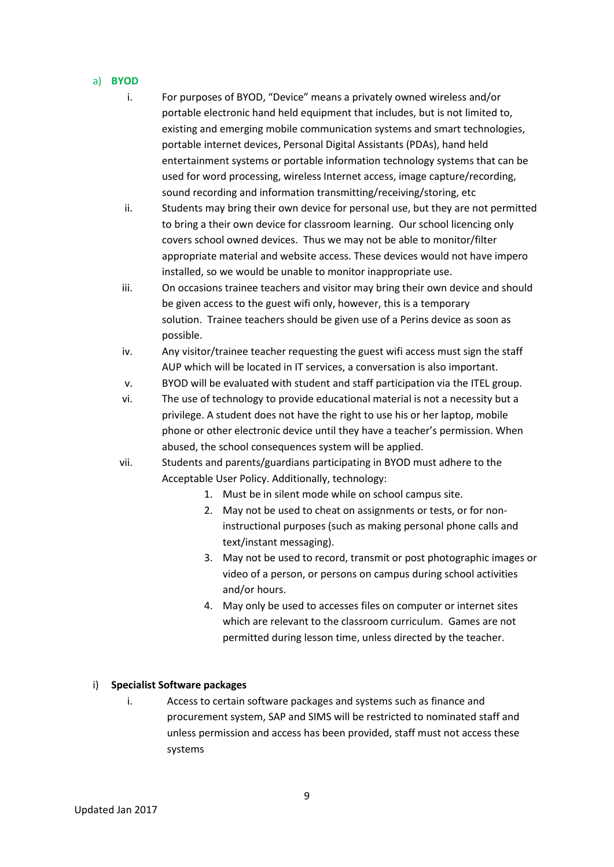- a) **BYOD** 
	- i. For purposes of BYOD, "Device" means a privately owned wireless and/or portable electronic hand held equipment that includes, but is not limited to, existing and emerging mobile communication systems and smart technologies, portable internet devices, Personal Digital Assistants (PDAs), hand held entertainment systems or portable information technology systems that can be used for word processing, wireless Internet access, image capture/recording, sound recording and information transmitting/receiving/storing, etc
	- ii. Students may bring their own device for personal use, but they are not permitted to bring a their own device for classroom learning. Our school licencing only covers school owned devices. Thus we may not be able to monitor/filter appropriate material and website access. These devices would not have impero installed, so we would be unable to monitor inappropriate use.
	- iii. On occasions trainee teachers and visitor may bring their own device and should be given access to the guest wifi only, however, this is a temporary solution. Trainee teachers should be given use of a Perins device as soon as possible.
	- iv. Any visitor/trainee teacher requesting the guest wifi access must sign the staff AUP which will be located in IT services, a conversation is also important.
	- v. BYOD will be evaluated with student and staff participation via the ITEL group.
	- vi. The use of technology to provide educational material is not a necessity but a privilege. A student does not have the right to use his or her laptop, mobile phone or other electronic device until they have a teacher's permission. When abused, the school consequences system will be applied.
	- vii. Students and parents/guardians participating in BYOD must adhere to the Acceptable User Policy. Additionally, technology:
		- 1. Must be in silent mode while on school campus site.
		- 2. May not be used to cheat on assignments or tests, or for noninstructional purposes (such as making personal phone calls and text/instant messaging).
		- 3. May not be used to record, transmit or post photographic images or video of a person, or persons on campus during school activities and/or hours.
		- 4. May only be used to accesses files on computer or internet sites which are relevant to the classroom curriculum. Games are not permitted during lesson time, unless directed by the teacher.

#### i) **Specialist Software packages**

i. Access to certain software packages and systems such as finance and procurement system, SAP and SIMS will be restricted to nominated staff and unless permission and access has been provided, staff must not access these systems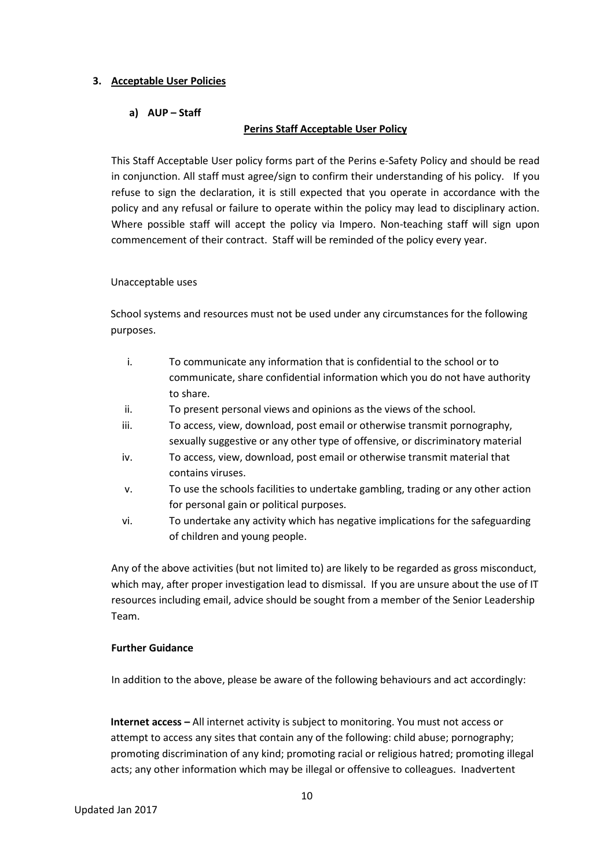#### **3. Acceptable User Policies**

#### **a) AUP – Staff**

#### **Perins Staff Acceptable User Policy**

This Staff Acceptable User policy forms part of the Perins e-Safety Policy and should be read in conjunction. All staff must agree/sign to confirm their understanding of his policy. If you refuse to sign the declaration, it is still expected that you operate in accordance with the policy and any refusal or failure to operate within the policy may lead to disciplinary action. Where possible staff will accept the policy via Impero. Non-teaching staff will sign upon commencement of their contract. Staff will be reminded of the policy every year.

#### Unacceptable uses

School systems and resources must not be used under any circumstances for the following purposes.

- i. To communicate any information that is confidential to the school or to communicate, share confidential information which you do not have authority to share.
- ii. To present personal views and opinions as the views of the school.
- iii. To access, view, download, post email or otherwise transmit pornography, sexually suggestive or any other type of offensive, or discriminatory material
- iv. To access, view, download, post email or otherwise transmit material that contains viruses.
- v. To use the schools facilities to undertake gambling, trading or any other action for personal gain or political purposes.
- vi. To undertake any activity which has negative implications for the safeguarding of children and young people.

Any of the above activities (but not limited to) are likely to be regarded as gross misconduct, which may, after proper investigation lead to dismissal. If you are unsure about the use of IT resources including email, advice should be sought from a member of the Senior Leadership Team.

#### **Further Guidance**

In addition to the above, please be aware of the following behaviours and act accordingly:

**Internet access –** All internet activity is subject to monitoring. You must not access or attempt to access any sites that contain any of the following: child abuse; pornography; promoting discrimination of any kind; promoting racial or religious hatred; promoting illegal acts; any other information which may be illegal or offensive to colleagues. Inadvertent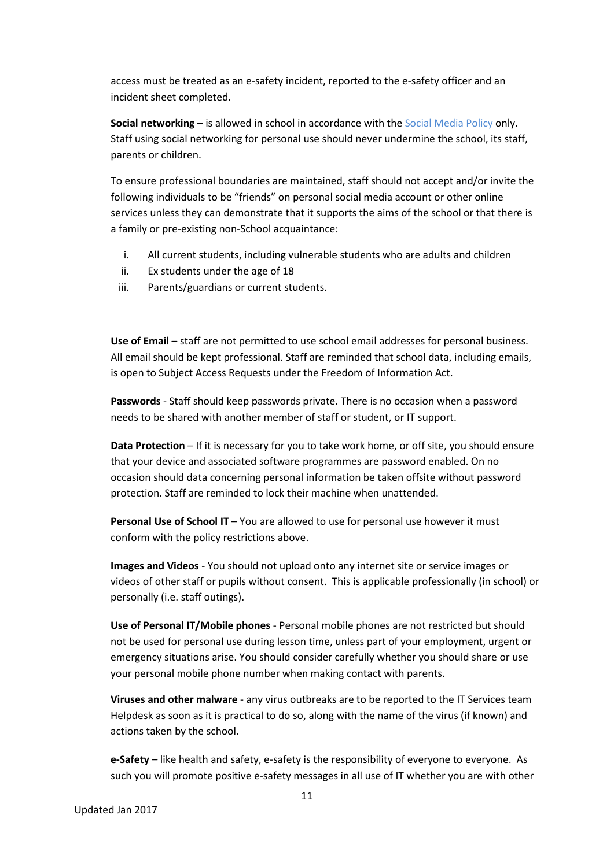access must be treated as an e-safety incident, reported to the e-safety officer and an incident sheet completed.

**Social networking** – is allowed in school in accordance with the Social Media Policy only. Staff using social networking for personal use should never undermine the school, its staff, parents or children.

To ensure professional boundaries are maintained, staff should not accept and/or invite the following individuals to be "friends" on personal social media account or other online services unless they can demonstrate that it supports the aims of the school or that there is a family or pre-existing non-School acquaintance:

- i. All current students, including vulnerable students who are adults and children
- ii. Ex students under the age of 18
- iii. Parents/guardians or current students.

**Use of Email** – staff are not permitted to use school email addresses for personal business. All email should be kept professional. Staff are reminded that school data, including emails, is open to Subject Access Requests under the Freedom of Information Act.

**Passwords** - Staff should keep passwords private. There is no occasion when a password needs to be shared with another member of staff or student, or IT support.

**Data Protection** – If it is necessary for you to take work home, or off site, you should ensure that your device and associated software programmes are password enabled. On no occasion should data concerning personal information be taken offsite without password protection. Staff are reminded to lock their machine when unattended.

**Personal Use of School IT** – You are allowed to use for personal use however it must conform with the policy restrictions above.

**Images and Videos** - You should not upload onto any internet site or service images or videos of other staff or pupils without consent. This is applicable professionally (in school) or personally (i.e. staff outings).

**Use of Personal IT/Mobile phones** - Personal mobile phones are not restricted but should not be used for personal use during lesson time, unless part of your employment, urgent or emergency situations arise. You should consider carefully whether you should share or use your personal mobile phone number when making contact with parents.

**Viruses and other malware** - any virus outbreaks are to be reported to the IT Services team Helpdesk as soon as it is practical to do so, along with the name of the virus (if known) and actions taken by the school.

**e-Safety** – like health and safety, e-safety is the responsibility of everyone to everyone. As such you will promote positive e-safety messages in all use of IT whether you are with other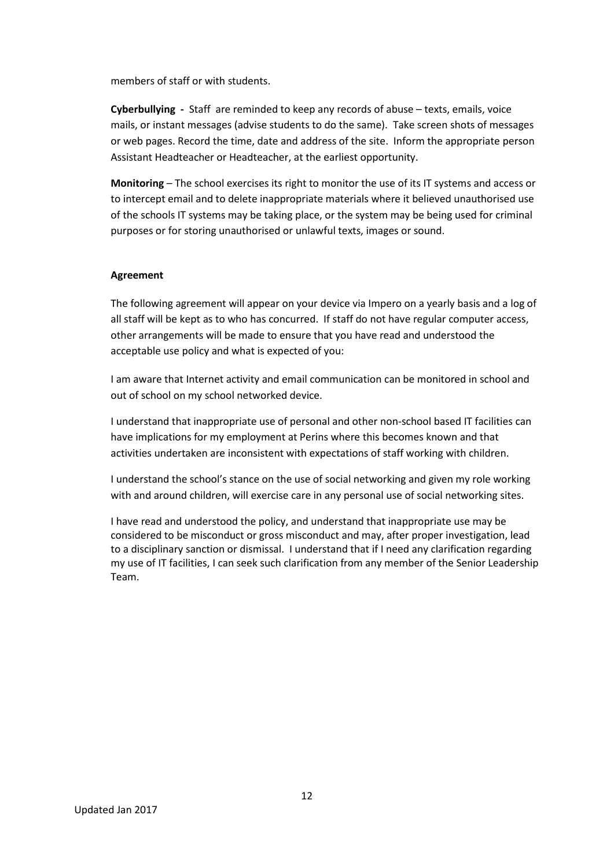members of staff or with students.

**Cyberbullying -** Staff are reminded to keep any records of abuse – texts, emails, voice mails, or instant messages (advise students to do the same). Take screen shots of messages or web pages. Record the time, date and address of the site. Inform the appropriate person Assistant Headteacher or Headteacher, at the earliest opportunity.

**Monitoring** – The school exercises its right to monitor the use of its IT systems and access or to intercept email and to delete inappropriate materials where it believed unauthorised use of the schools IT systems may be taking place, or the system may be being used for criminal purposes or for storing unauthorised or unlawful texts, images or sound.

#### **Agreement**

The following agreement will appear on your device via Impero on a yearly basis and a log of all staff will be kept as to who has concurred. If staff do not have regular computer access, other arrangements will be made to ensure that you have read and understood the acceptable use policy and what is expected of you:

I am aware that Internet activity and email communication can be monitored in school and out of school on my school networked device.

I understand that inappropriate use of personal and other non-school based IT facilities can have implications for my employment at Perins where this becomes known and that activities undertaken are inconsistent with expectations of staff working with children.

I understand the school's stance on the use of social networking and given my role working with and around children, will exercise care in any personal use of social networking sites.

I have read and understood the policy, and understand that inappropriate use may be considered to be misconduct or gross misconduct and may, after proper investigation, lead to a disciplinary sanction or dismissal. I understand that if I need any clarification regarding my use of IT facilities, I can seek such clarification from any member of the Senior Leadership Team.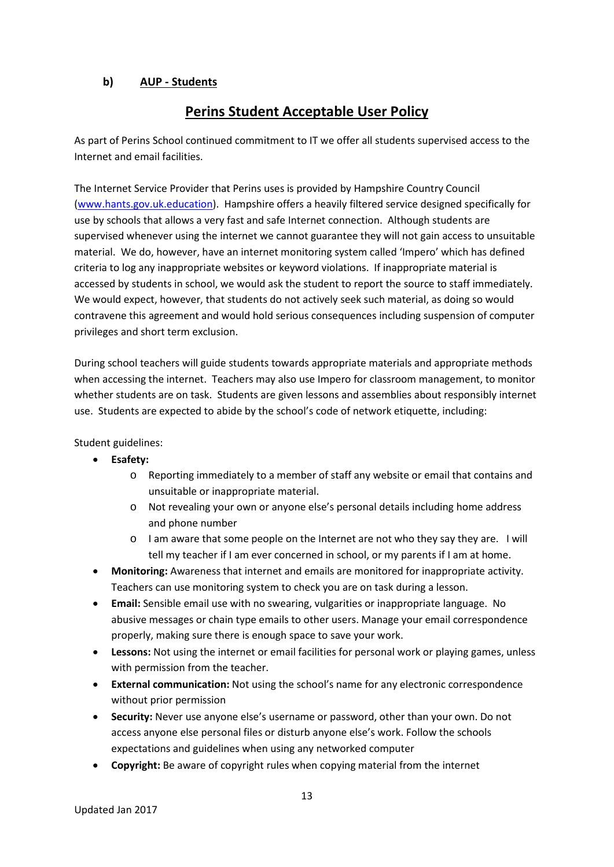#### **b) AUP - Students**

## **Perins Student Acceptable User Policy**

As part of Perins School continued commitment to IT we offer all students supervised access to the Internet and email facilities.

The Internet Service Provider that Perins uses is provided by Hampshire Country Council [\(www.hants.gov.uk.education\)](http://www.hants.gov.uk.education/). Hampshire offers a heavily filtered service designed specifically for use by schools that allows a very fast and safe Internet connection. Although students are supervised whenever using the internet we cannot guarantee they will not gain access to unsuitable material. We do, however, have an internet monitoring system called 'Impero' which has defined criteria to log any inappropriate websites or keyword violations. If inappropriate material is accessed by students in school, we would ask the student to report the source to staff immediately. We would expect, however, that students do not actively seek such material, as doing so would contravene this agreement and would hold serious consequences including suspension of computer privileges and short term exclusion.

During school teachers will guide students towards appropriate materials and appropriate methods when accessing the internet. Teachers may also use Impero for classroom management, to monitor whether students are on task. Students are given lessons and assemblies about responsibly internet use. Students are expected to abide by the school's code of network etiquette, including:

Student guidelines:

- **Esafety:** 
	- o Reporting immediately to a member of staff any website or email that contains and unsuitable or inappropriate material.
	- o Not revealing your own or anyone else's personal details including home address and phone number
	- o I am aware that some people on the Internet are not who they say they are. I will tell my teacher if I am ever concerned in school, or my parents if I am at home.
- **Monitoring:** Awareness that internet and emails are monitored for inappropriate activity. Teachers can use monitoring system to check you are on task during a lesson.
- **Email:** Sensible email use with no swearing, vulgarities or inappropriate language. No abusive messages or chain type emails to other users. Manage your email correspondence properly, making sure there is enough space to save your work.
- **Lessons:** Not using the internet or email facilities for personal work or playing games, unless with permission from the teacher.
- **External communication:** Not using the school's name for any electronic correspondence without prior permission
- **Security:** Never use anyone else's username or password, other than your own. Do not access anyone else personal files or disturb anyone else's work. Follow the schools expectations and guidelines when using any networked computer
- **Copyright:** Be aware of copyright rules when copying material from the internet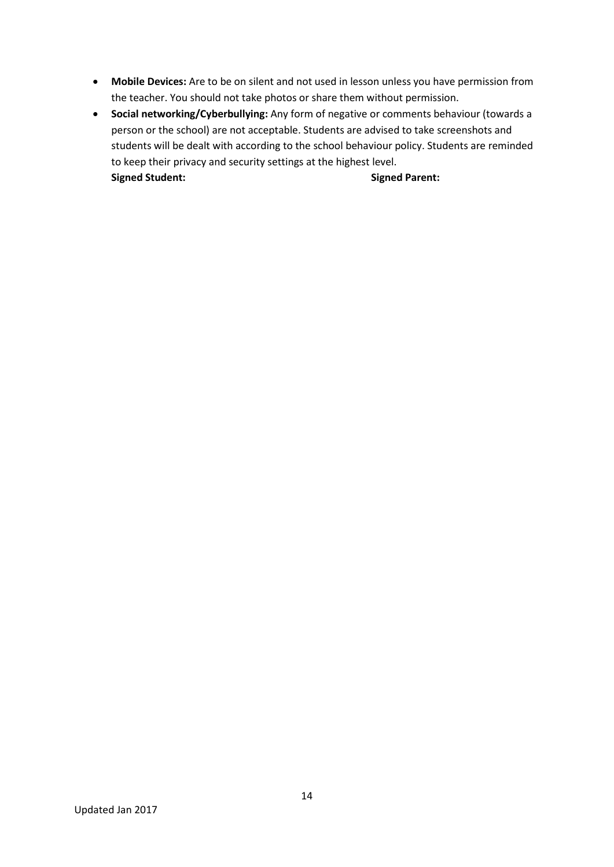- **Mobile Devices:** Are to be on silent and not used in lesson unless you have permission from the teacher. You should not take photos or share them without permission.
- **Social networking/Cyberbullying:** Any form of negative or comments behaviour (towards a person or the school) are not acceptable. Students are advised to take screenshots and students will be dealt with according to the school behaviour policy. Students are reminded to keep their privacy and security settings at the highest level. **Signed Student: Signed Parent:**

Updated Jan 2017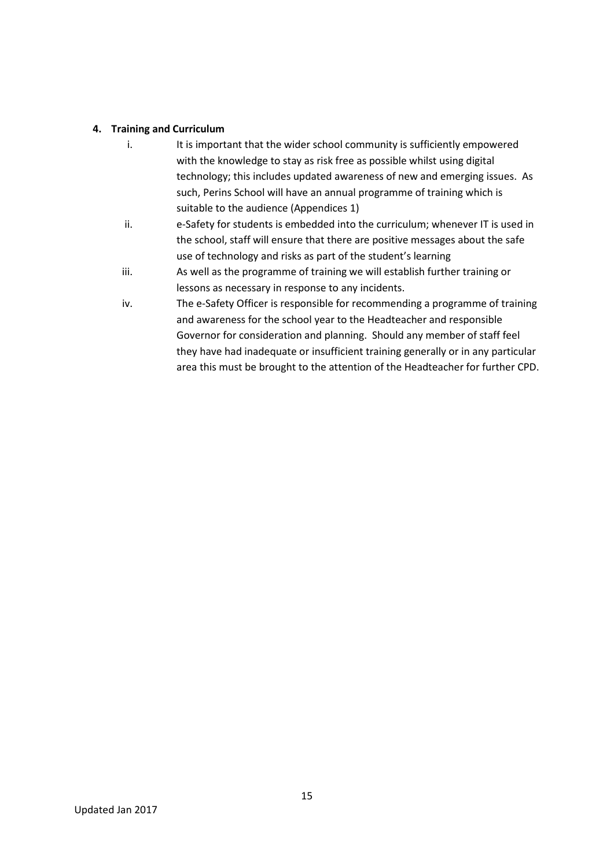#### **4. Training and Curriculum**

- i. It is important that the wider school community is sufficiently empowered with the knowledge to stay as risk free as possible whilst using digital technology; this includes updated awareness of new and emerging issues. As such, Perins School will have an annual programme of training which is suitable to the audience (Appendices 1)
- ii. e-Safety for students is embedded into the curriculum; whenever IT is used in the school, staff will ensure that there are positive messages about the safe use of technology and risks as part of the student's learning
- iii. As well as the programme of training we will establish further training or lessons as necessary in response to any incidents.
- iv. The e-Safety Officer is responsible for recommending a programme of training and awareness for the school year to the Headteacher and responsible Governor for consideration and planning. Should any member of staff feel they have had inadequate or insufficient training generally or in any particular area this must be brought to the attention of the Headteacher for further CPD.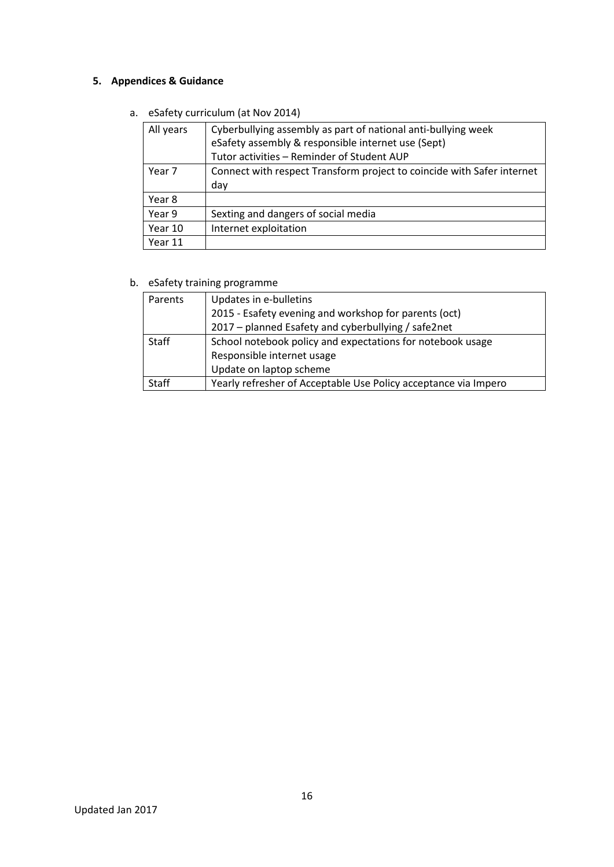## **5. Appendices & Guidance**

a. eSafety curriculum (at Nov 2014)

| All years | Cyberbullying assembly as part of national anti-bullying week<br>eSafety assembly & responsible internet use (Sept)<br>Tutor activities - Reminder of Student AUP |
|-----------|-------------------------------------------------------------------------------------------------------------------------------------------------------------------|
| Year 7    | Connect with respect Transform project to coincide with Safer internet<br>day                                                                                     |
| Year 8    |                                                                                                                                                                   |
| Year 9    | Sexting and dangers of social media                                                                                                                               |
| Year 10   | Internet exploitation                                                                                                                                             |
| Year 11   |                                                                                                                                                                   |

## b. eSafety training programme

| Parents | Updates in e-bulletins                                          |
|---------|-----------------------------------------------------------------|
|         | 2015 - Esafety evening and workshop for parents (oct)           |
|         | 2017 – planned Esafety and cyberbullying / safe2net             |
| Staff   | School notebook policy and expectations for notebook usage      |
|         | Responsible internet usage                                      |
|         | Update on laptop scheme                                         |
| Staff   | Yearly refresher of Acceptable Use Policy acceptance via Impero |